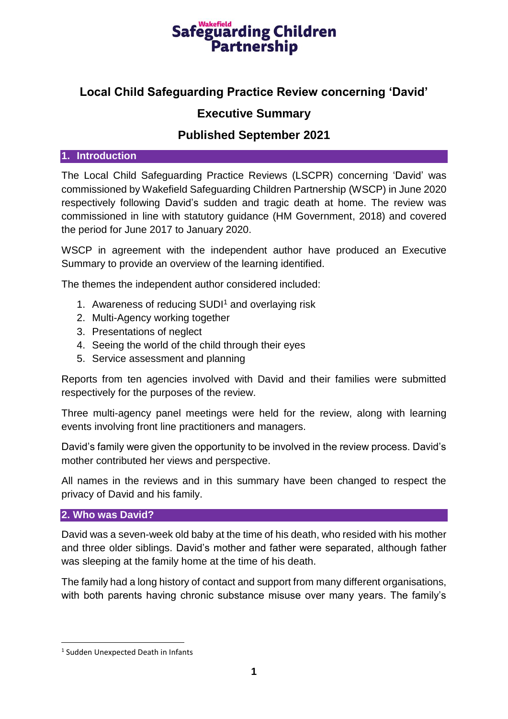# Safeguarding Children **Partnership**

# **Local Child Safeguarding Practice Review concerning 'David'**

# **Executive Summary**

## **Published September 2021**

#### **1. Introduction**

The Local Child Safeguarding Practice Reviews (LSCPR) concerning 'David' was commissioned by Wakefield Safeguarding Children Partnership (WSCP) in June 2020 respectively following David's sudden and tragic death at home. The review was commissioned in line with statutory guidance (HM Government, 2018) and covered the period for June 2017 to January 2020.

WSCP in agreement with the independent author have produced an Executive Summary to provide an overview of the learning identified.

The themes the independent author considered included:

- 1. Awareness of reducing SUDI<sup>1</sup> and overlaying risk
- 2. Multi-Agency working together
- 3. Presentations of neglect
- 4. Seeing the world of the child through their eyes
- 5. Service assessment and planning

Reports from ten agencies involved with David and their families were submitted respectively for the purposes of the review.

Three multi-agency panel meetings were held for the review, along with learning events involving front line practitioners and managers.

David's family were given the opportunity to be involved in the review process. David's mother contributed her views and perspective.

All names in the reviews and in this summary have been changed to respect the privacy of David and his family.

#### **2. Who was David?**

David was a seven-week old baby at the time of his death, who resided with his mother and three older siblings. David's mother and father were separated, although father was sleeping at the family home at the time of his death.

The family had a long history of contact and support from many different organisations, with both parents having chronic substance misuse over many years. The family's

**.** 

<sup>1</sup> Sudden Unexpected Death in Infants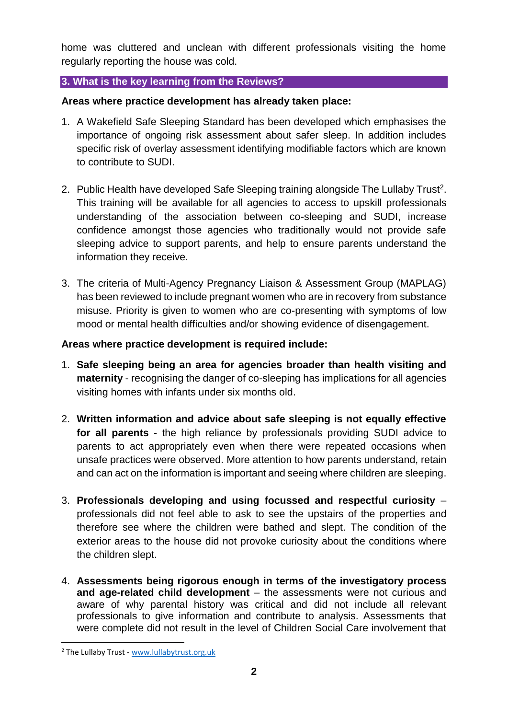home was cluttered and unclean with different professionals visiting the home regularly reporting the house was cold.

### **3. What is the key learning from the Reviews?**

### **Areas where practice development has already taken place:**

- 1. A Wakefield Safe Sleeping Standard has been developed which emphasises the importance of ongoing risk assessment about safer sleep. In addition includes specific risk of overlay assessment identifying modifiable factors which are known to contribute to SUDI.
- 2. Public Health have developed Safe Sleeping training alongside The Lullaby Trust<sup>2</sup>. This training will be available for all agencies to access to upskill professionals understanding of the association between co-sleeping and SUDI, increase confidence amongst those agencies who traditionally would not provide safe sleeping advice to support parents, and help to ensure parents understand the information they receive.
- 3. The criteria of Multi-Agency Pregnancy Liaison & Assessment Group (MAPLAG) has been reviewed to include pregnant women who are in recovery from substance misuse. Priority is given to women who are co-presenting with symptoms of low mood or mental health difficulties and/or showing evidence of disengagement.

### **Areas where practice development is required include:**

- 1. **Safe sleeping being an area for agencies broader than health visiting and maternity** - recognising the danger of co-sleeping has implications for all agencies visiting homes with infants under six months old.
- 2. **Written information and advice about safe sleeping is not equally effective for all parents** - the high reliance by professionals providing SUDI advice to parents to act appropriately even when there were repeated occasions when unsafe practices were observed. More attention to how parents understand, retain and can act on the information is important and seeing where children are sleeping.
- 3. **Professionals developing and using focussed and respectful curiosity** professionals did not feel able to ask to see the upstairs of the properties and therefore see where the children were bathed and slept. The condition of the exterior areas to the house did not provoke curiosity about the conditions where the children slept.
- 4. **Assessments being rigorous enough in terms of the investigatory process and age-related child development** – the assessments were not curious and aware of why parental history was critical and did not include all relevant professionals to give information and contribute to analysis. Assessments that were complete did not result in the level of Children Social Care involvement that

**.** 

<sup>2</sup> The Lullaby Trust - [www.lullabytrust.org.uk](http://www.lullabytrust.org.uk/)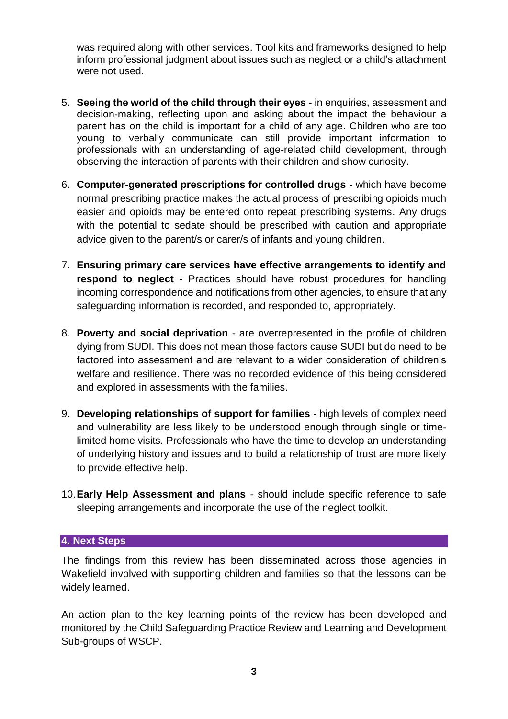was required along with other services. Tool kits and frameworks designed to help inform professional judgment about issues such as neglect or a child's attachment were not used.

- 5. **Seeing the world of the child through their eyes** in enquiries, assessment and decision-making, reflecting upon and asking about the impact the behaviour a parent has on the child is important for a child of any age. Children who are too young to verbally communicate can still provide important information to professionals with an understanding of age-related child development, through observing the interaction of parents with their children and show curiosity.
- 6. **Computer-generated prescriptions for controlled drugs**  which have become normal prescribing practice makes the actual process of prescribing opioids much easier and opioids may be entered onto repeat prescribing systems. Any drugs with the potential to sedate should be prescribed with caution and appropriate advice given to the parent/s or carer/s of infants and young children.
- 7. **Ensuring primary care services have effective arrangements to identify and respond to neglect** - Practices should have robust procedures for handling incoming correspondence and notifications from other agencies, to ensure that any safeguarding information is recorded, and responded to, appropriately.
- 8. **Poverty and social deprivation** are overrepresented in the profile of children dying from SUDI. This does not mean those factors cause SUDI but do need to be factored into assessment and are relevant to a wider consideration of children's welfare and resilience. There was no recorded evidence of this being considered and explored in assessments with the families.
- 9. **Developing relationships of support for families** high levels of complex need and vulnerability are less likely to be understood enough through single or timelimited home visits. Professionals who have the time to develop an understanding of underlying history and issues and to build a relationship of trust are more likely to provide effective help.
- 10.**Early Help Assessment and plans**  should include specific reference to safe sleeping arrangements and incorporate the use of the neglect toolkit.

#### **4. Next Steps**

The findings from this review has been disseminated across those agencies in Wakefield involved with supporting children and families so that the lessons can be widely learned.

An action plan to the key learning points of the review has been developed and monitored by the Child Safeguarding Practice Review and Learning and Development Sub-groups of WSCP.